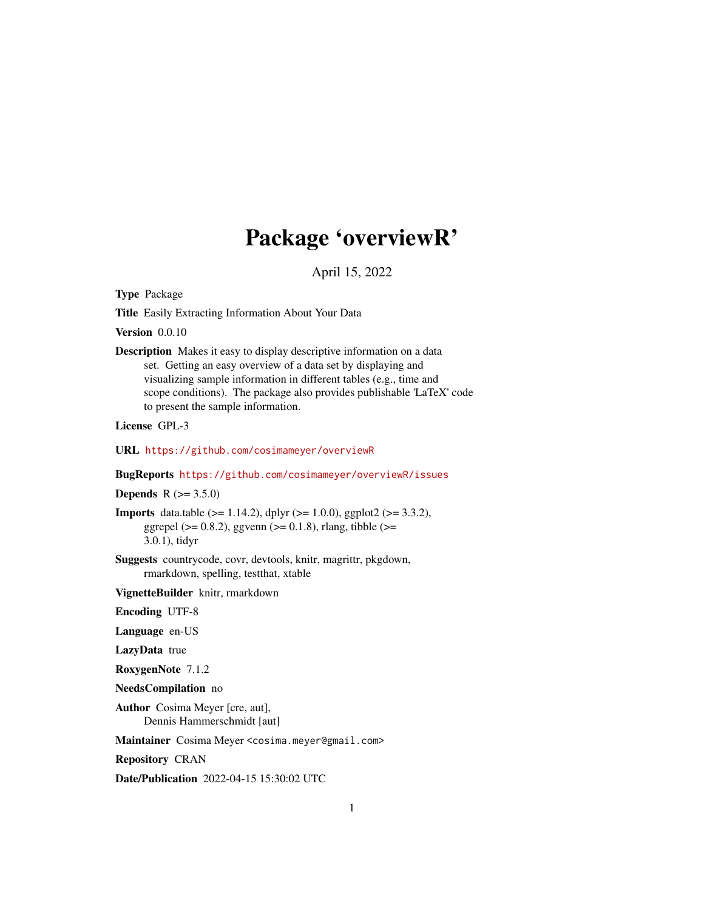# Package 'overviewR'

April 15, 2022

Type Package

Title Easily Extracting Information About Your Data

Version 0.0.10

Description Makes it easy to display descriptive information on a data set. Getting an easy overview of a data set by displaying and visualizing sample information in different tables (e.g., time and scope conditions). The package also provides publishable 'LaTeX' code to present the sample information.

License GPL-3

URL <https://github.com/cosimameyer/overviewR>

BugReports <https://github.com/cosimameyer/overviewR/issues>

**Depends** R  $(>= 3.5.0)$ 

**Imports** data.table ( $>= 1.14.2$ ), dplyr ( $>= 1.0.0$ ), ggplot2 ( $>= 3.3.2$ ), ggrepel ( $>= 0.8.2$ ), ggvenn ( $>= 0.1.8$ ), rlang, tibble ( $>=$ 3.0.1), tidyr

Suggests countrycode, covr, devtools, knitr, magrittr, pkgdown, rmarkdown, spelling, testthat, xtable

VignetteBuilder knitr, rmarkdown

Encoding UTF-8

Language en-US

LazyData true

RoxygenNote 7.1.2

NeedsCompilation no

Author Cosima Meyer [cre, aut], Dennis Hammerschmidt [aut]

Maintainer Cosima Meyer <cosima.meyer@gmail.com>

Repository CRAN

Date/Publication 2022-04-15 15:30:02 UTC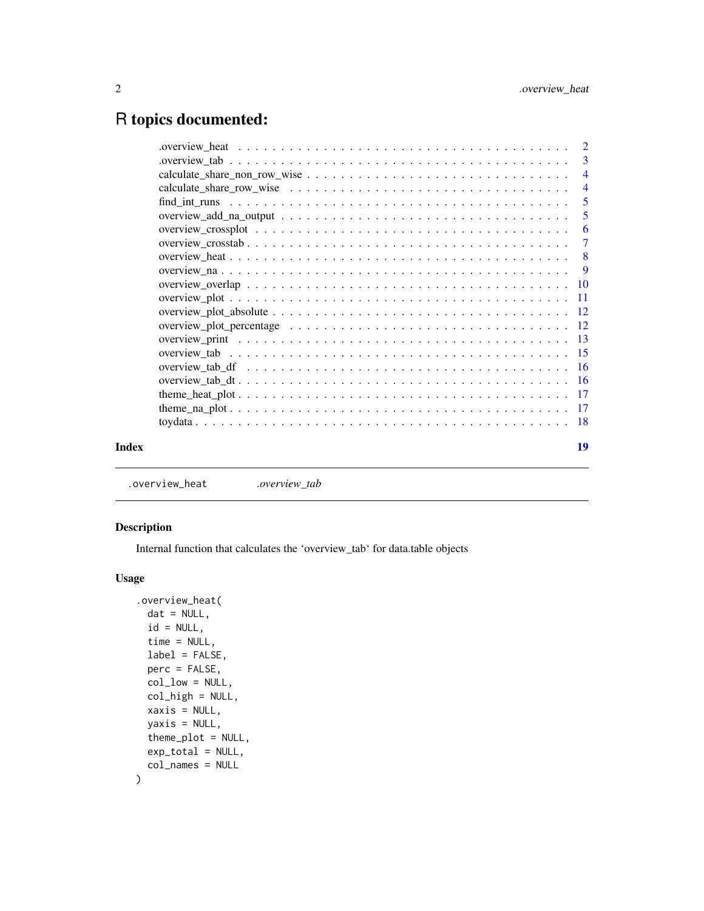## <span id="page-1-0"></span>R topics documented:

| Index |                                                                                                                     | 19                        |
|-------|---------------------------------------------------------------------------------------------------------------------|---------------------------|
|       |                                                                                                                     |                           |
|       |                                                                                                                     |                           |
|       |                                                                                                                     |                           |
|       |                                                                                                                     |                           |
|       |                                                                                                                     |                           |
|       |                                                                                                                     |                           |
|       |                                                                                                                     |                           |
|       |                                                                                                                     |                           |
|       |                                                                                                                     |                           |
|       |                                                                                                                     |                           |
|       |                                                                                                                     |                           |
|       |                                                                                                                     |                           |
|       |                                                                                                                     | $\overline{\phantom{0}}8$ |
|       |                                                                                                                     |                           |
|       |                                                                                                                     |                           |
|       | overview_add_na_output $\ldots \ldots \ldots \ldots \ldots \ldots \ldots \ldots \ldots \ldots \ldots \ldots \ldots$ | $\overline{5}$            |
|       |                                                                                                                     | $\overline{5}$            |
|       |                                                                                                                     | $\overline{4}$            |
|       |                                                                                                                     |                           |
|       |                                                                                                                     |                           |
|       |                                                                                                                     |                           |

.overview\_heat *.overview\_tab*

#### Description

Internal function that calculates the 'overview\_tab' for data.table objects

#### Usage

```
.overview_heat(
 dat = NULL,id = NULL,time = NULL,
 label = FALSE,perc = FALSE,
 col\_low = NULL,col_high = NULL,
 xaxis = NULL,yaxis = NULL,
  theme_plot = NULL,
 exp_total = NULL,
 col_names = NULL
\mathcal{E}
```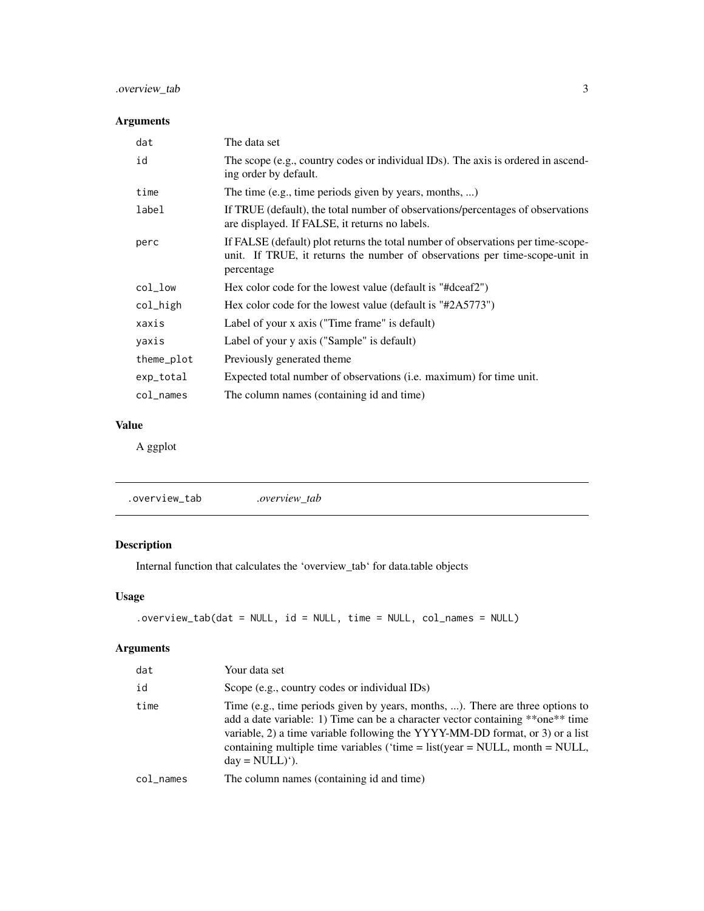#### <span id="page-2-0"></span>.overview\_tab 3

#### Arguments

| dat        | The data set                                                                                                                                                                  |
|------------|-------------------------------------------------------------------------------------------------------------------------------------------------------------------------------|
| id         | The scope (e.g., country codes or individual IDs). The axis is ordered in ascend-<br>ing order by default.                                                                    |
| time       | The time (e.g., time periods given by years, months, )                                                                                                                        |
| label      | If TRUE (default), the total number of observations/percentages of observations<br>are displayed. If FALSE, it returns no labels.                                             |
| perc       | If FALSE (default) plot returns the total number of observations per time-scope-<br>unit. If TRUE, it returns the number of observations per time-scope-unit in<br>percentage |
| $col_l$    | Hex color code for the lowest value (default is "#dceaf2")                                                                                                                    |
| col_high   | Hex color code for the lowest value (default is "#2A5773")                                                                                                                    |
| xaxis      | Label of your x axis ("Time frame" is default)                                                                                                                                |
| yaxis      | Label of your y axis ("Sample" is default)                                                                                                                                    |
| theme_plot | Previously generated theme                                                                                                                                                    |
| exp_total  | Expected total number of observations (i.e. maximum) for time unit.                                                                                                           |
| col_names  | The column names (containing id and time)                                                                                                                                     |

#### Value

A ggplot

### Description

Internal function that calculates the 'overview\_tab' for data.table objects

#### Usage

```
.overview_tab(dat = NULL, id = NULL, time = NULL, col_names = NULL)
```
#### Arguments

| dat             | Your data set                                                                                                                                                                                                                                                                                                                                                       |
|-----------------|---------------------------------------------------------------------------------------------------------------------------------------------------------------------------------------------------------------------------------------------------------------------------------------------------------------------------------------------------------------------|
| id              | Scope (e.g., country codes or individual IDs)                                                                                                                                                                                                                                                                                                                       |
| time            | Time (e.g., time periods given by years, months, ). There are three options to<br>add a date variable: 1) Time can be a character vector containing **one** time<br>variable, 2) a time variable following the YYYY-MM-DD format, or 3) or a list<br>containing multiple time variables ('time = $list(year = NULL, month = NULL,$<br>$day = NULL)$ <sup>'</sup> ). |
| $col$ $\_names$ | The column names (containing id and time)                                                                                                                                                                                                                                                                                                                           |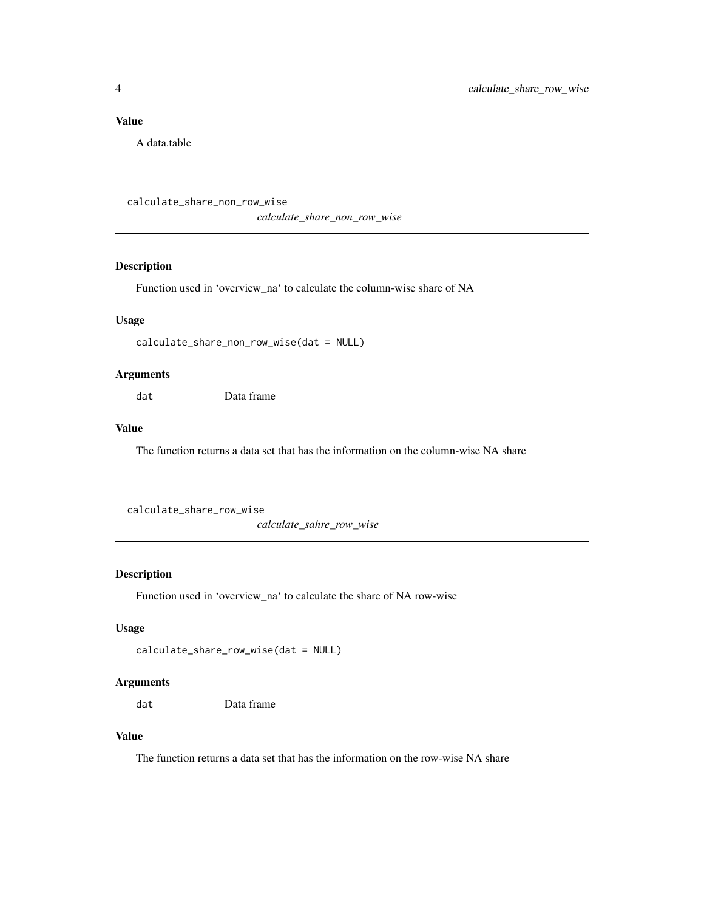#### <span id="page-3-0"></span>Value

A data.table

calculate\_share\_non\_row\_wise

*calculate\_share\_non\_row\_wise*

#### Description

Function used in 'overview\_na' to calculate the column-wise share of NA

#### Usage

```
calculate_share_non_row_wise(dat = NULL)
```
#### Arguments

dat Data frame

#### Value

The function returns a data set that has the information on the column-wise NA share

```
calculate_share_row_wise
```
*calculate\_sahre\_row\_wise*

#### Description

Function used in 'overview\_na' to calculate the share of NA row-wise

#### Usage

```
calculate_share_row_wise(dat = NULL)
```
#### Arguments

dat Data frame

#### Value

The function returns a data set that has the information on the row-wise NA share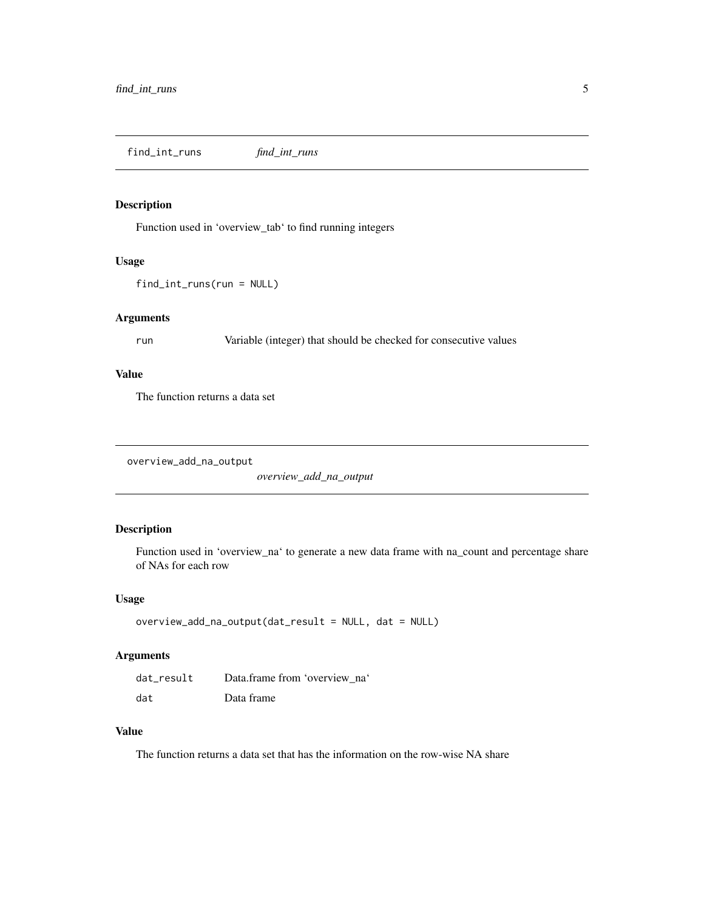<span id="page-4-0"></span>find\_int\_runs *find\_int\_runs*

#### Description

Function used in 'overview\_tab' to find running integers

#### Usage

find\_int\_runs(run = NULL)

#### Arguments

run Variable (integer) that should be checked for consecutive values

#### Value

The function returns a data set

overview\_add\_na\_output

*overview\_add\_na\_output*

#### Description

Function used in 'overview\_na' to generate a new data frame with na\_count and percentage share of NAs for each row

#### Usage

```
overview_add_na_output(dat_result = NULL, dat = NULL)
```
#### Arguments

| dat result | Data.frame from 'overview na' |
|------------|-------------------------------|
| dat        | Data frame                    |

#### Value

The function returns a data set that has the information on the row-wise NA share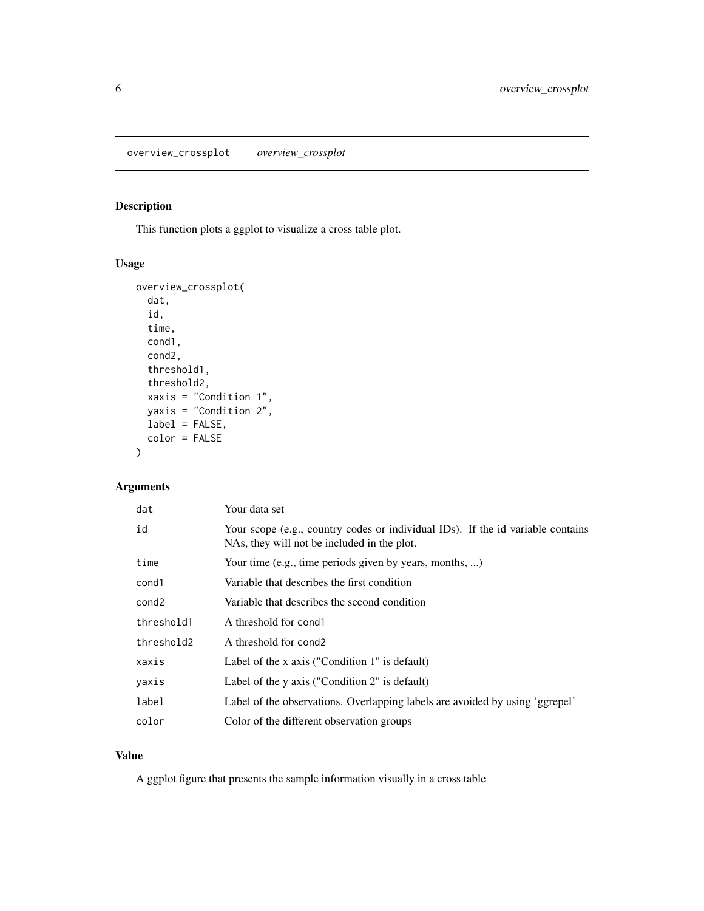<span id="page-5-0"></span>overview\_crossplot *overview\_crossplot*

#### Description

This function plots a ggplot to visualize a cross table plot.

#### Usage

```
overview_crossplot(
 dat,
  id,
  time,
 cond1,
  cond2,
  threshold1,
  threshold2,
  xaxis = "Condition 1",
 yaxis = "Condition 2",
 label = FALSE,
 color = FALSE
)
```
#### Arguments

| dat               | Your data set                                                                                                                  |
|-------------------|--------------------------------------------------------------------------------------------------------------------------------|
| id                | Your scope (e.g., country codes or individual IDs). If the id variable contains<br>NAs, they will not be included in the plot. |
| time              | Your time (e.g., time periods given by years, months, )                                                                        |
| cond1             | Variable that describes the first condition                                                                                    |
| cond <sub>2</sub> | Variable that describes the second condition                                                                                   |
| threshold1        | A threshold for cond1                                                                                                          |
| threshold2        | A threshold for cond2                                                                                                          |
| xaxis             | Label of the x axis ("Condition 1" is default)                                                                                 |
| yaxis             | Label of the y axis ("Condition 2" is default)                                                                                 |
| label             | Label of the observations. Overlapping labels are avoided by using 'ggrepel'                                                   |
| color             | Color of the different observation groups                                                                                      |

#### Value

A ggplot figure that presents the sample information visually in a cross table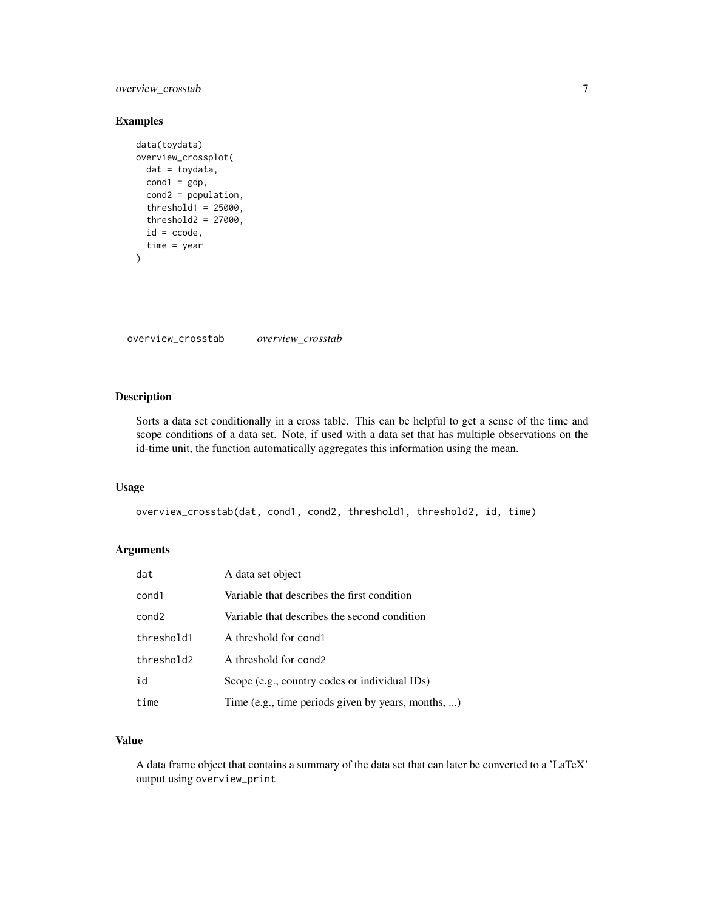#### <span id="page-6-0"></span>overview\_crosstab 7

#### Examples

```
data(toydata)
overview_crossplot(
  dat = toydata,
  cond1 = gdp,
  cond2 = population,
  threshold1 = 25000,
  threshold2 = 27000,
  id = ccode,time = year
\mathcal{L}
```
overview\_crosstab *overview\_crosstab*

#### Description

Sorts a data set conditionally in a cross table. This can be helpful to get a sense of the time and scope conditions of a data set. Note, if used with a data set that has multiple observations on the id-time unit, the function automatically aggregates this information using the mean.

#### Usage

```
overview_crosstab(dat, cond1, cond2, threshold1, threshold2, id, time)
```
#### Arguments

| dat               | A data set object                                  |
|-------------------|----------------------------------------------------|
| cond1             | Variable that describes the first condition        |
| cond <sub>2</sub> | Variable that describes the second condition       |
| threshold1        | A threshold for cond1                              |
| threshold2        | A threshold for cond2                              |
| id                | Scope (e.g., country codes or individual IDs)      |
| time              | Time (e.g., time periods given by years, months, ) |

#### Value

A data frame object that contains a summary of the data set that can later be converted to a 'LaTeX' output using overview\_print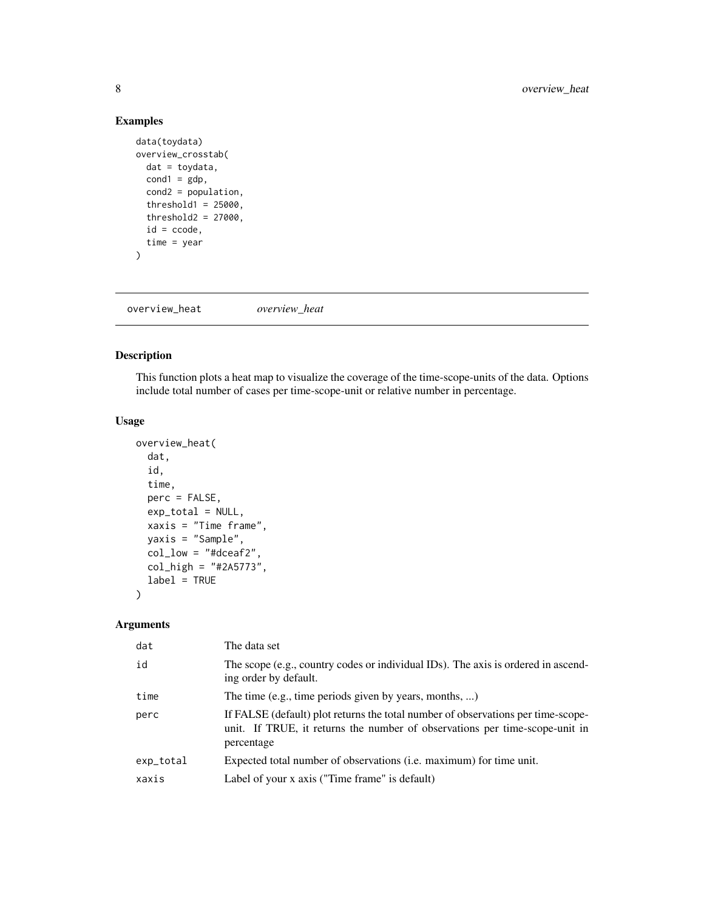#### Examples

```
data(toydata)
overview_crosstab(
 dat = toydata,
 cond1 = gdp,
 cond2 = population,
  threshold1 = 25000,
  threshold2 = 27000,
  id = ccode,time = year
)
```
overview\_heat *overview\_heat*

#### Description

This function plots a heat map to visualize the coverage of the time-scope-units of the data. Options include total number of cases per time-scope-unit or relative number in percentage.

#### Usage

```
overview_heat(
  dat,
  id,
  time,
  perc = FALSE,
  exp_total = NULL,
  xaxis = "Time frame",
 yaxis = "Sample",
  col_low = "#dceaf2",
  col_{high} = "#2A5773",
  label = TRUE)
```
#### Arguments

| dat       | The data set                                                                                                                                                                  |
|-----------|-------------------------------------------------------------------------------------------------------------------------------------------------------------------------------|
| id        | The scope (e.g., country codes or individual IDs). The axis is ordered in ascend-<br>ing order by default.                                                                    |
| time      | The time (e.g., time periods given by years, months, )                                                                                                                        |
| perc      | If FALSE (default) plot returns the total number of observations per time-scope-<br>unit. If TRUE, it returns the number of observations per time-scope-unit in<br>percentage |
| exp_total | Expected total number of observations ( <i>i.e.</i> maximum) for time unit.                                                                                                   |
| xaxis     | Label of your x axis ("Time frame" is default)                                                                                                                                |

<span id="page-7-0"></span>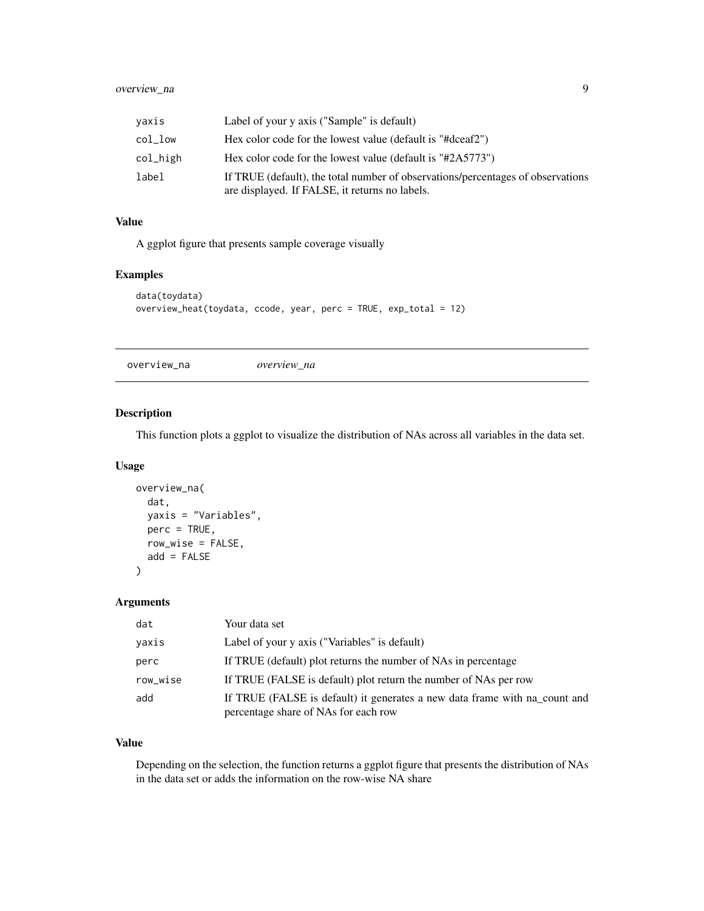<span id="page-8-0"></span>

| vaxis    | Label of your y axis ("Sample" is default)                                                                                        |
|----------|-----------------------------------------------------------------------------------------------------------------------------------|
| col low  | Hex color code for the lowest value (default is "#dceaf2")                                                                        |
| col_high | Hex color code for the lowest value (default is "#2A5773")                                                                        |
| label    | If TRUE (default), the total number of observations/percentages of observations<br>are displayed. If FALSE, it returns no labels. |

#### Value

A ggplot figure that presents sample coverage visually

#### Examples

```
data(toydata)
overview_heat(toydata, ccode, year, perc = TRUE, exp_total = 12)
```
overview\_na *overview\_na*

#### Description

This function plots a ggplot to visualize the distribution of NAs across all variables in the data set.

#### Usage

```
overview_na(
 dat,
 yaxis = "Variables",
 perc = TRUE,
  row_wise = FALSE,
  add = FALSE)
```
#### Arguments

| dat      | Your data set                                                                                                      |
|----------|--------------------------------------------------------------------------------------------------------------------|
| yaxis    | Label of your y axis ("Variables" is default)                                                                      |
| perc     | If TRUE (default) plot returns the number of NAs in percentage                                                     |
| row_wise | If TRUE (FALSE is default) plot return the number of NAs per row                                                   |
| add      | If TRUE (FALSE is default) it generates a new data frame with na_count and<br>percentage share of NAs for each row |

#### Value

Depending on the selection, the function returns a ggplot figure that presents the distribution of NAs in the data set or adds the information on the row-wise NA share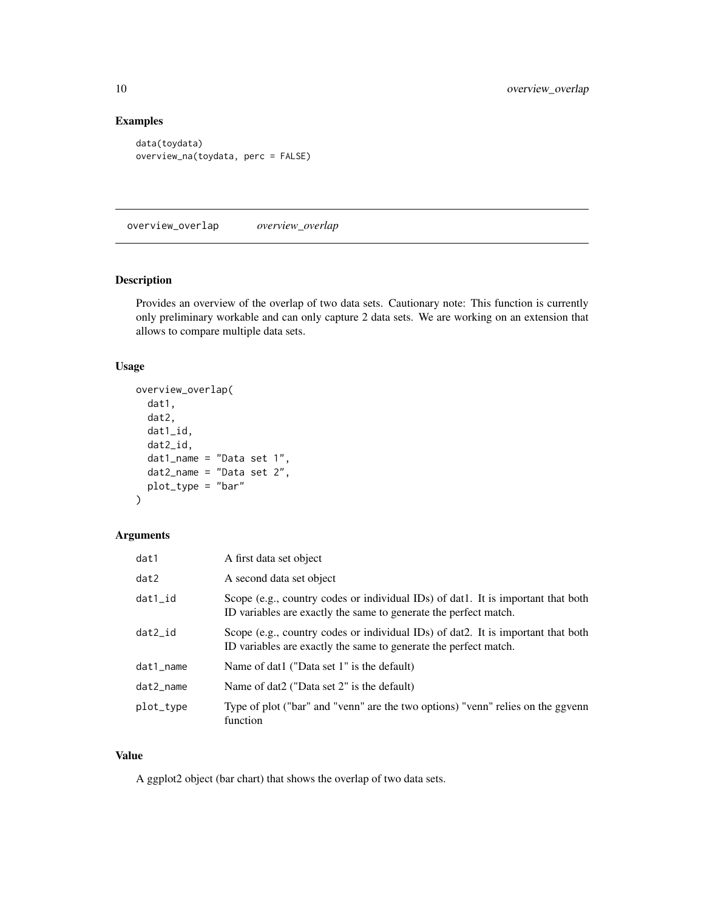#### Examples

```
data(toydata)
overview_na(toydata, perc = FALSE)
```
overview\_overlap *overview\_overlap*

#### Description

Provides an overview of the overlap of two data sets. Cautionary note: This function is currently only preliminary workable and can only capture 2 data sets. We are working on an extension that allows to compare multiple data sets.

#### Usage

```
overview_overlap(
  dat1,
  dat2,
  dat1_id,
  dat2_id,
  dat1_name = "Data set 1",
  dat2_name = "Data set 2",
 plot_type = "bar"
)
```
#### Arguments

| dat1         | A first data set object                                                                                                                              |
|--------------|------------------------------------------------------------------------------------------------------------------------------------------------------|
| dat2         | A second data set object                                                                                                                             |
| $dat1\_id$   | Scope (e.g., country codes or individual IDs) of dat1. It is important that both<br>ID variables are exactly the same to generate the perfect match. |
| dat2 id      | Scope (e.g., country codes or individual IDs) of dat2. It is important that both<br>ID variables are exactly the same to generate the perfect match. |
| $dat1$ name  | Name of dat1 ("Data set 1" is the default)                                                                                                           |
| $dat2$ _name | Name of dat2 ("Data set 2" is the default)                                                                                                           |
| plot_type    | Type of plot ("bar" and "venn" are the two options) "venn" relies on the ggvenn<br>function                                                          |

#### Value

A ggplot2 object (bar chart) that shows the overlap of two data sets.

<span id="page-9-0"></span>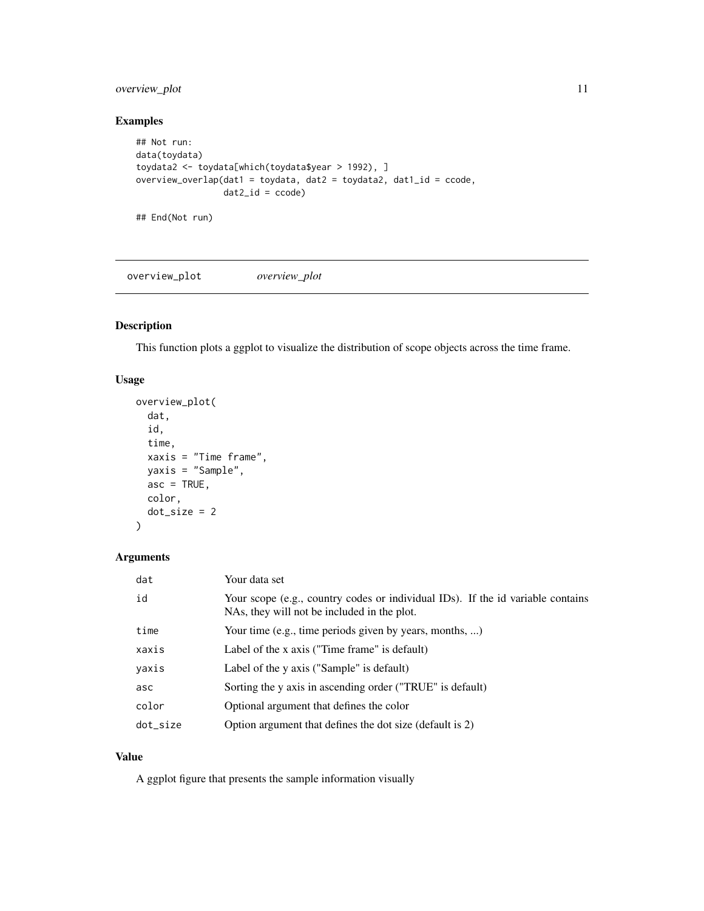#### <span id="page-10-0"></span>overview\_plot 11

#### Examples

```
## Not run:
data(toydata)
toydata2 <- toydata[which(toydata$year > 1992), ]
overview_overlap(dat1 = toydata, dat2 = toydata2, dat1_id = ccode,
                 dat2_id = code)
```
## End(Not run)

overview\_plot *overview\_plot*

#### Description

This function plots a ggplot to visualize the distribution of scope objects across the time frame.

#### Usage

```
overview_plot(
  dat,
  id,
  time,
  xaxis = "Time frame",
  yaxis = "Sample",
  asc = TRUE,color,
  dot_size = 2
\mathcal{L}
```
#### Arguments

| dat      | Your data set                                                                                                                  |
|----------|--------------------------------------------------------------------------------------------------------------------------------|
| id       | Your scope (e.g., country codes or individual IDs). If the id variable contains<br>NAs, they will not be included in the plot. |
| time     | Your time (e.g., time periods given by years, months, )                                                                        |
| xaxis    | Label of the x axis ("Time frame" is default)                                                                                  |
| yaxis    | Label of the y axis ("Sample" is default)                                                                                      |
| asc      | Sorting the y axis in ascending order ("TRUE" is default)                                                                      |
| color    | Optional argument that defines the color                                                                                       |
| dot_size | Option argument that defines the dot size (default is 2)                                                                       |

#### Value

A ggplot figure that presents the sample information visually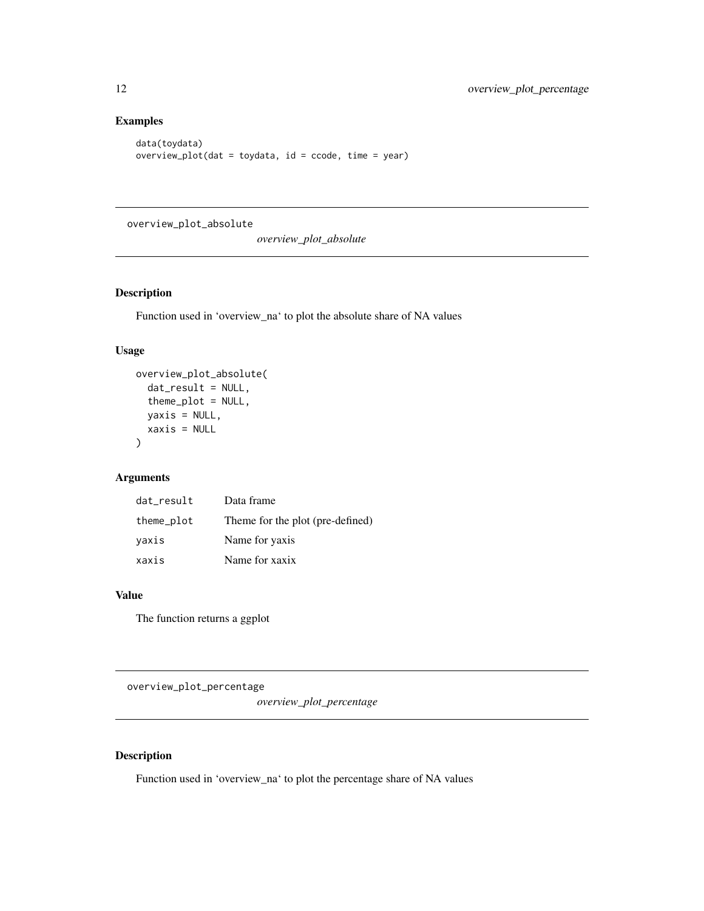#### Examples

```
data(toydata)
overview_plot(dat = toydata, id = ccode, time = year)
```
overview\_plot\_absolute

*overview\_plot\_absolute*

#### Description

Function used in 'overview\_na' to plot the absolute share of NA values

#### Usage

```
overview_plot_absolute(
  dat_result = NULL,
  theme_plot = NULL,
  yaxis = NULL,
  xaxis = NULL
\mathcal{L}
```
#### Arguments

| dat result<br>Data frame                       |  |
|------------------------------------------------|--|
| Theme for the plot (pre-defined)<br>theme_plot |  |
| Name for yaxis<br>vaxis                        |  |
| Name for xaxix<br>xaxis                        |  |

#### Value

The function returns a ggplot

overview\_plot\_percentage

*overview\_plot\_percentage*

#### Description

Function used in 'overview\_na' to plot the percentage share of NA values

<span id="page-11-0"></span>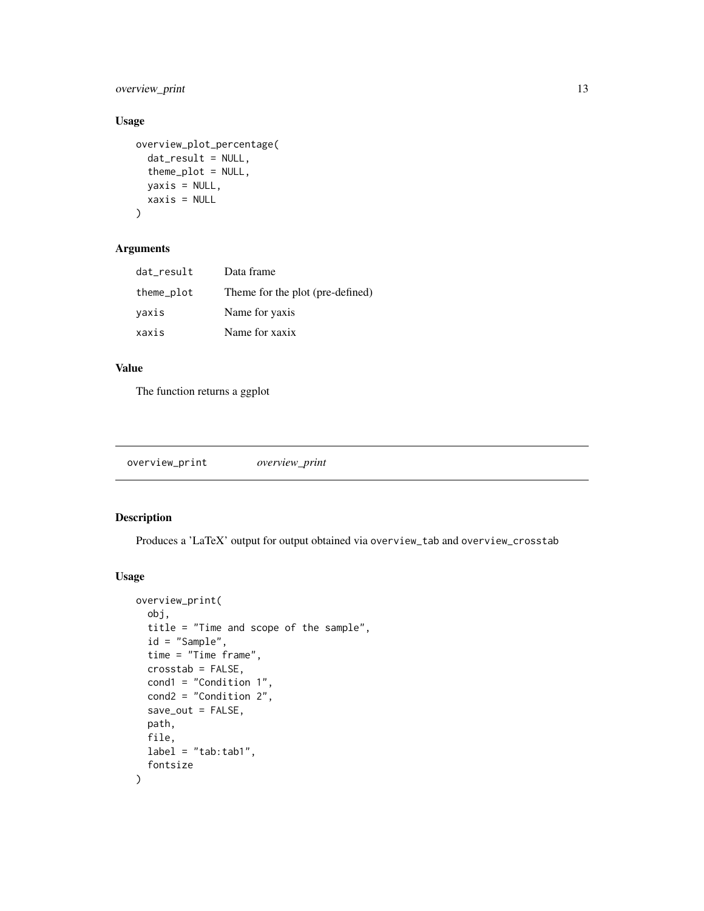<span id="page-12-0"></span>overview\_print 13

#### Usage

```
overview_plot_percentage(
 dat_result = NULL,
  theme_plot = NULL,
 yaxis = NULL,xaxis = NULL
)
```
#### Arguments

| dat_result | Data frame                       |
|------------|----------------------------------|
| theme_plot | Theme for the plot (pre-defined) |
| yaxis      | Name for yaxis                   |
| xaxis      | Name for xaxix                   |

#### Value

The function returns a ggplot

| overview_print<br>overview_print |
|----------------------------------|
|----------------------------------|

#### Description

Produces a 'LaTeX' output for output obtained via overview\_tab and overview\_crosstab

#### Usage

```
overview_print(
 obj,
  title = "Time and scope of the sample",
  id = "Sample",
  time = "Time frame",
 crosstab = FALSE,
  cond1 = "Condition 1",
 cond2 = "Condition 2",
  save_out = FALSE,
 path,
 file,
 label = "tab:tab:tab1",fontsize
\mathcal{E}
```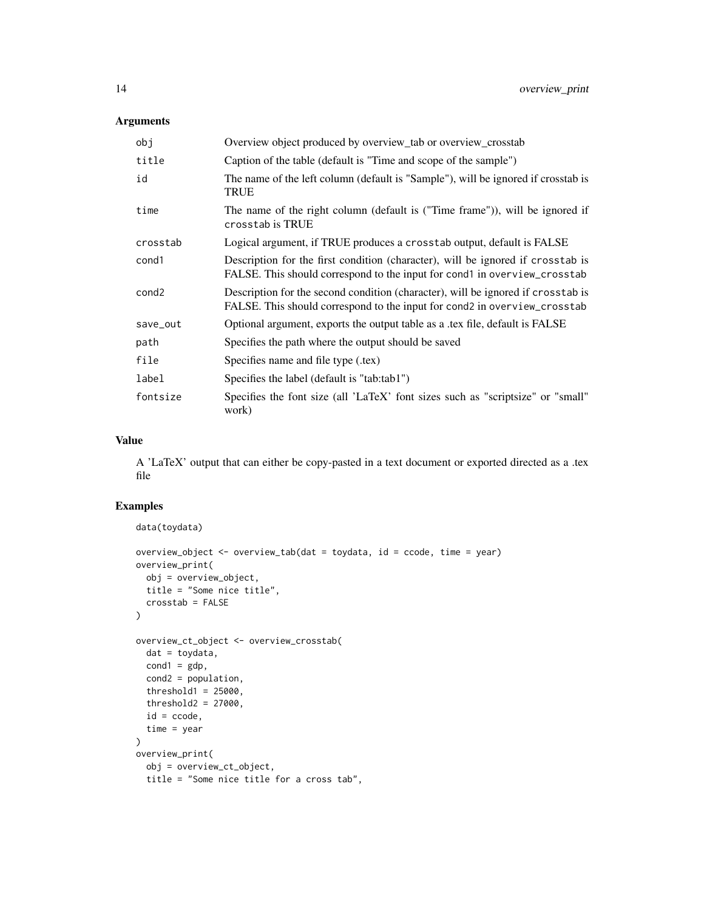#### Arguments

| obj               | Overview object produced by overview_tab or overview_crosstab                                                                                                 |
|-------------------|---------------------------------------------------------------------------------------------------------------------------------------------------------------|
| title             | Caption of the table (default is "Time and scope of the sample")                                                                                              |
| id                | The name of the left column (default is "Sample"), will be ignored if crosstab is<br><b>TRUE</b>                                                              |
| time              | The name of the right column (default is ("Time frame")), will be ignored if<br>crosstab is TRUE                                                              |
| crosstab          | Logical argument, if TRUE produces a crosstab output, default is FALSE                                                                                        |
| cond1             | Description for the first condition (character), will be ignored if crosstab is<br>FALSE. This should correspond to the input for cond1 in overview_crosstab  |
| cond <sub>2</sub> | Description for the second condition (character), will be ignored if crosstab is<br>FALSE. This should correspond to the input for cond2 in overview_crosstab |
| save_out          | Optional argument, exports the output table as a .tex file, default is FALSE                                                                                  |
| path              | Specifies the path where the output should be saved                                                                                                           |
| file              | Specifies name and file type (.tex)                                                                                                                           |
| label             | Specifies the label (default is "tab:tab1")                                                                                                                   |
| fontsize          | Specifies the font size (all 'LaTeX' font sizes such as "scriptsize" or "small"<br>work)                                                                      |

#### Value

A 'LaTeX' output that can either be copy-pasted in a text document or exported directed as a .tex file

#### Examples

```
data(toydata)
overview_object <- overview_tab(dat = toydata, id = ccode, time = year)
overview_print(
 obj = overview_object,
 title = "Some nice title",
 crosstab = FALSE
)
overview_ct_object <- overview_crosstab(
 dat = toydata,
 cond1 = gdp,
 cond2 = population,
  threshold1 = 25000,
  threshold2 = 27000,
  id = ccode,
  time = year
\mathcal{L}overview_print(
 obj = overview_ct_object,
  title = "Some nice title for a cross tab",
```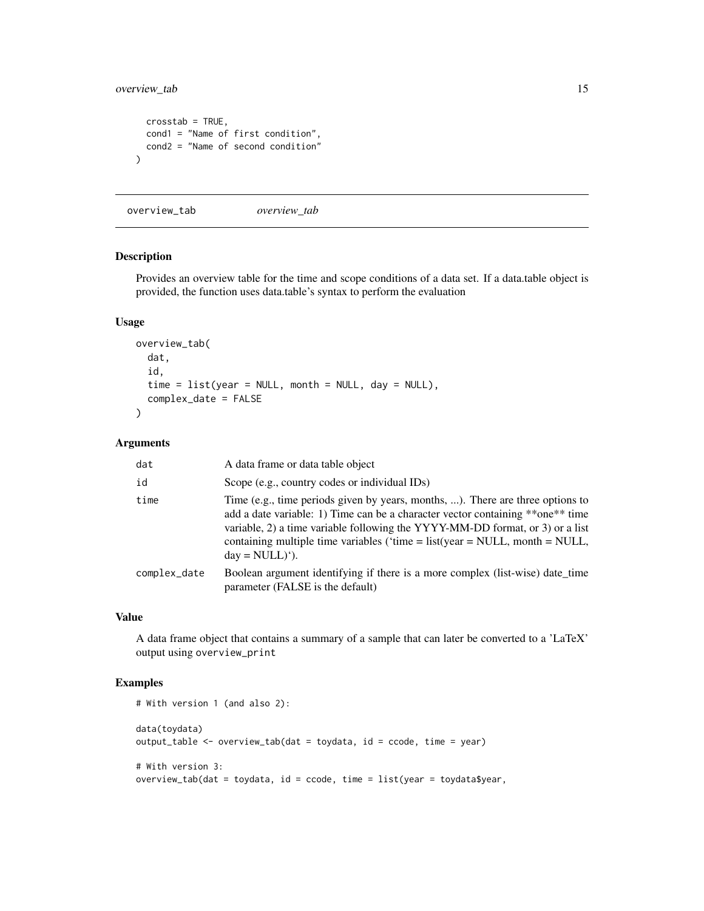#### <span id="page-14-0"></span>overview\_tab 15

```
crosstab = TRUE,
  cond1 = "Name of first condition",
  cond2 = "Name of second condition"
\lambda
```
overview\_tab *overview\_tab*

#### Description

Provides an overview table for the time and scope conditions of a data set. If a data.table object is provided, the function uses data.table's syntax to perform the evaluation

#### Usage

```
overview_tab(
  dat,
  id,
  time = list(year = NULL, month = NULL, day = NULL),complex_date = FALSE
)
```
#### Arguments

| dat          | A data frame or data table object                                                                                                                                                                                                                                                                                                                                  |
|--------------|--------------------------------------------------------------------------------------------------------------------------------------------------------------------------------------------------------------------------------------------------------------------------------------------------------------------------------------------------------------------|
| id           | Scope (e.g., country codes or individual IDs)                                                                                                                                                                                                                                                                                                                      |
| time         | Time (e.g., time periods given by years, months, ). There are three options to<br>add a date variable: 1) Time can be a character vector containing **one** time<br>variable, 2) a time variable following the YYYY-MM-DD format, or 3) or a list<br>containing multiple time variables ('time = $list(year = NULL, month = NULL,$<br>$day = NULL$ <sup>'</sup> ). |
| complex_date | Boolean argument identifying if there is a more complex (list-wise) date_time<br>parameter (FALSE is the default)                                                                                                                                                                                                                                                  |

#### Value

A data frame object that contains a summary of a sample that can later be converted to a 'LaTeX' output using overview\_print

#### Examples

```
# With version 1 (and also 2):
data(toydata)
output_table <- overview_tab(dat = toydata, id = ccode, time = year)
# With version 3:
overview_tab(dat = toydata, id = ccode, time = list(year = toydata$year,
```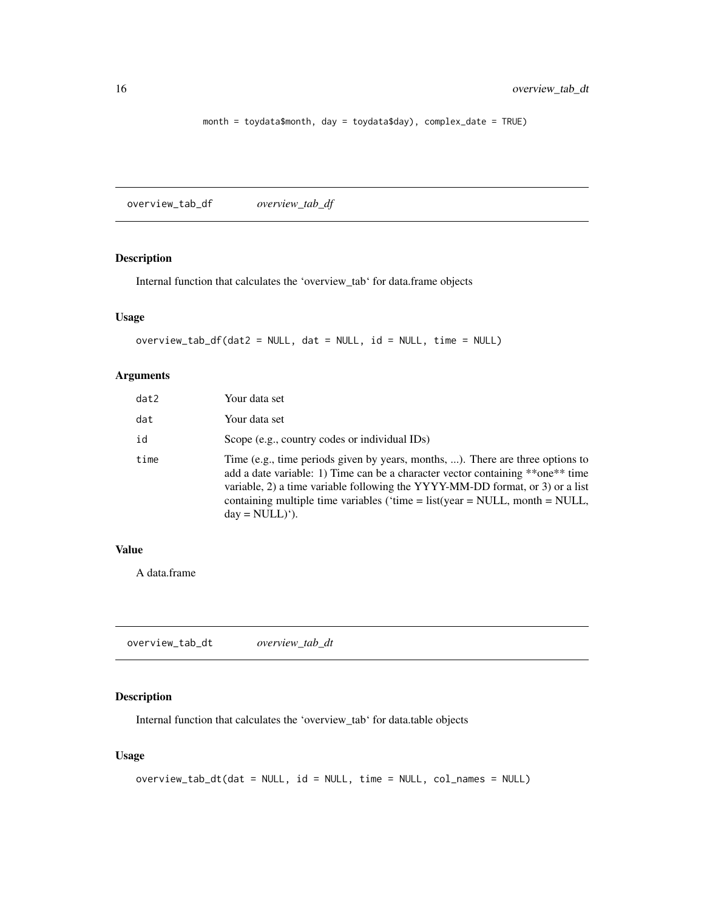```
month = toydata$month, day = toydata$day), complex_date = TRUE)
```
overview\_tab\_df *overview\_tab\_df*

#### Description

Internal function that calculates the 'overview\_tab' for data.frame objects

#### Usage

```
overview_tab_df(dat2 = NULL, dat = NULL, id = NULL, time = NULL)
```
#### Arguments

| dat2 | Your data set                                                                                                                                                                                                                                                                                                                                                       |
|------|---------------------------------------------------------------------------------------------------------------------------------------------------------------------------------------------------------------------------------------------------------------------------------------------------------------------------------------------------------------------|
| dat  | Your data set                                                                                                                                                                                                                                                                                                                                                       |
| id   | Scope (e.g., country codes or individual IDs)                                                                                                                                                                                                                                                                                                                       |
| time | Time (e.g., time periods given by years, months, ). There are three options to<br>add a date variable: 1) Time can be a character vector containing **one** time<br>variable, 2) a time variable following the YYYY-MM-DD format, or 3) or a list<br>containing multiple time variables ('time = $list(year = NULL, month = NULL,$<br>$day = NULL)$ <sup>'</sup> ). |

#### Value

A data.frame

overview\_tab\_dt *overview\_tab\_dt*

#### Description

Internal function that calculates the 'overview\_tab' for data.table objects

#### Usage

```
overview_tab_dt(dat = NULL, id = NULL, time = NULL, col_names = NULL)
```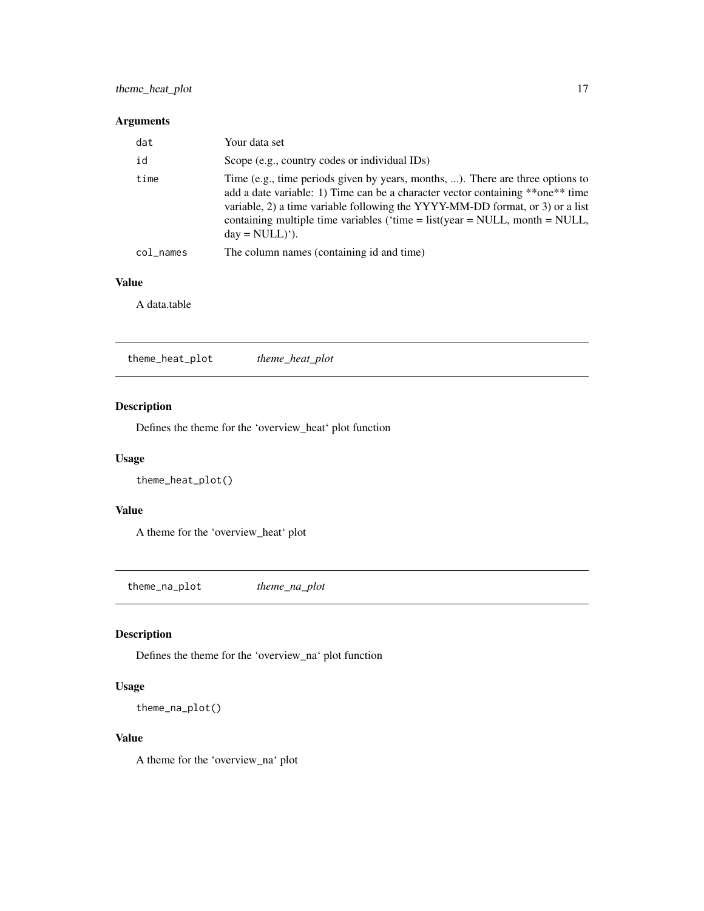#### <span id="page-16-0"></span>theme\_heat\_plot 17

#### Arguments

| dat       | Your data set                                                                                                                                                                                                                                                                                                                                                       |
|-----------|---------------------------------------------------------------------------------------------------------------------------------------------------------------------------------------------------------------------------------------------------------------------------------------------------------------------------------------------------------------------|
| id        | Scope (e.g., country codes or individual IDs)                                                                                                                                                                                                                                                                                                                       |
| time      | Time (e.g., time periods given by years, months, ). There are three options to<br>add a date variable: 1) Time can be a character vector containing **one** time<br>variable, 2) a time variable following the YYYY-MM-DD format, or 3) or a list<br>containing multiple time variables ('time = $list(year = NULL, month = NULL,$<br>$day = NULL)$ <sup>'</sup> ). |
| col_names | The column names (containing id and time)                                                                                                                                                                                                                                                                                                                           |

#### Value

A data.table

theme\_heat\_plot *theme\_heat\_plot*

#### Description

Defines the theme for the 'overview\_heat' plot function

#### Usage

```
theme_heat_plot()
```
#### Value

A theme for the 'overview\_heat' plot

theme\_na\_plot *theme\_na\_plot*

#### Description

Defines the theme for the 'overview\_na' plot function

#### Usage

```
theme_na_plot()
```
#### Value

A theme for the 'overview\_na' plot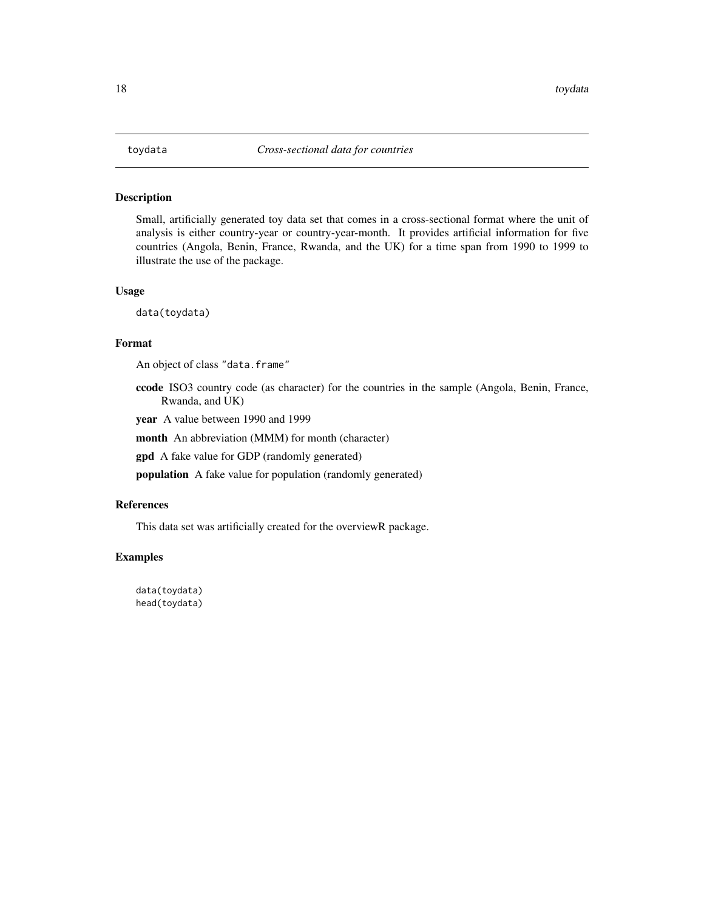#### <span id="page-17-0"></span>Description

Small, artificially generated toy data set that comes in a cross-sectional format where the unit of analysis is either country-year or country-year-month. It provides artificial information for five countries (Angola, Benin, France, Rwanda, and the UK) for a time span from 1990 to 1999 to illustrate the use of the package.

#### Usage

data(toydata)

#### Format

An object of class "data.frame"

ccode ISO3 country code (as character) for the countries in the sample (Angola, Benin, France, Rwanda, and UK)

year A value between 1990 and 1999

month An abbreviation (MMM) for month (character)

gpd A fake value for GDP (randomly generated)

population A fake value for population (randomly generated)

#### References

This data set was artificially created for the overviewR package.

#### Examples

data(toydata) head(toydata)